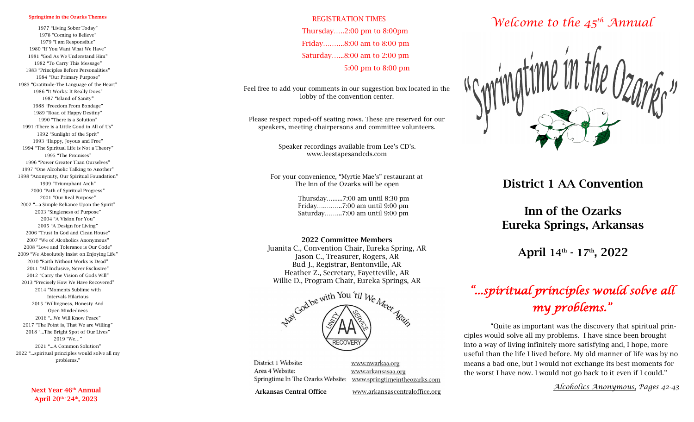#### Springtime in the Ozarks Themes

1977 "Living Sober Today" 1978 "Coming to Believe" 1979 "I am Responsible" 1980 "If You Want What We Have" 1981 "God As We Understand Him" 1982 "To Carry This Message" 1983 "Principles Before Personalities" 1984 "Our Primary Purpose" 1985 "Gratitude -The Language of the Heart" 1986 "It Works: It Really Does" 1987 "Island of Sanity" 1988 "Freedom From Bondage" 1989 "Road of Happy Destiny" 1990 "There is a Solution" 1991 :There is a Little Good in All of Us" 1992 "Sunlight of the Sprit" 1993 "Happy, Joyous and Free" 1994 "The Spiritual Life is Not a Theory" 1995 "The Promises" 1996 "Power Greater Than Ourselves" 1997 "One Alcoholic Talking to Another" 1998 "Anonymity, Our Spiritual Foundation" 1999 "Triumphant Arch" 2000 "Path of Spiritual Progress" 2001 "Our Real Purpose" 2002 "...a Simple Reliance Upon the Spirit" 2003 "Singleness of Purpose" 2004 "A Vision for You" 2005 "A Design for Living" 2006 "Trust In God and Clean House" 2007 "We of Alcoholics Anonymous" 2008 "Love and Tolerance is Our Code" 2009 "We Absolutely Insist on Enjoying Life" 2010 "Faith Without Works is Dead" 2011 "All Inclusive, Never Exclusive" 2012 "Carry the Vision of Gods Will" 2013 "Precisely How We Have Recovered" 2014 "Moments Sublime with Intervals Hilarious 2015 "Willingness, Honesty And Open Mindedness 2016 "...We Will Know Peace" 2017 "The Point is, That We are Willing" 2018 "...The Bright Spot of Our Lives" 2019 "We…" 2021 "...A Common Solution" 2022 "...spiritual principles would solve all my problems."

> Next Year 46<sup>th</sup> Annual April  $20^{\text{th}}$   $24^{\text{th}}$ ,  $2023$

#### REGISTRATION TIMES Thursday…..2:00 pm to 8:00pm Friday….…...8:00 am to 8:00 pm Saturday…...8:00 am to 2:00 pm 5:00 pm to 8:00 pm

Feel free to add your comments in our suggestion box located in the lobby of the convention center.

Please respect roped -off seating rows. These are reserved for our speakers, meeting chairpersons and committee volunteers.

> Speaker recordings available from Lee's CD's. www.leestapesandcds.com

For your convenience, "Myrtie Mae's" restaurant at The Inn of the Ozarks will be open

> Thursday…......7:00 am until 8:30 pm Friday….….…..7:00 am until 9:00 pm Saturday……...7:00 am until 9:00 pm

#### 2022 Committee Members

Juanita C., Convention Chair, Eureka Spring, AR Jason C., Treasurer, Rogers, AR Bud J., Registrar, Bentonville, AR Heather Z., Secretary, Fayetteville, AR Willie D., Program Chair, Eureka Springs, AR



District 1 Website: Area 4 Website: Springtime In The Ozarks Website:

www.nwarkaa.org www.arkansasaa.org www.springtimeintheozarks.com

Arkansas Central Office www.arkansascentraloffice.org

# *Welcome to the 45th Annual*



#### District 1 AA Convention

# Inn of the Ozarks Eureka Springs, Arkansas

April 14<sup>th</sup> - 17<sup>th</sup>, 2022

# *"...spiritual principles would solve all my problems."*

 "Quite as important was the discovery that spiritual principles would solve all my problems. I have since been brought into a way of living infinitely more satisfying and, I hope, more useful than the life I lived before. My old manner of life was by no means a bad one, but I would not exchange its best moments for the worst I have now. I would not go back to it even if I could."

*Alcoholics Anonymous, Pages 42 -43*